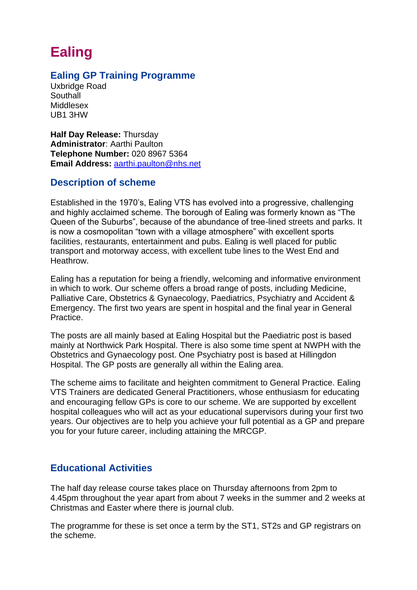# **Ealing**

# **Ealing GP Training Programme**

Uxbridge Road **Southall** Middlesex UB1 3HW

**Half Day Release:** Thursday **Administrator**: Aarthi Paulton **Telephone Number:** 020 8967 5364 **Email Address:** [aarthi.paulton@nhs.net](mailto:aarthi.paulton@nhs.net)

## **Description of scheme**

Established in the 1970's, Ealing VTS has evolved into a progressive, challenging and highly acclaimed scheme. The borough of Ealing was formerly known as "The Queen of the Suburbs", because of the abundance of tree-lined streets and parks. It is now a cosmopolitan "town with a village atmosphere" with excellent sports facilities, restaurants, entertainment and pubs. Ealing is well placed for public transport and motorway access, with excellent tube lines to the West End and Heathrow.

Ealing has a reputation for being a friendly, welcoming and informative environment in which to work. Our scheme offers a broad range of posts, including Medicine, Palliative Care, Obstetrics & Gynaecology, Paediatrics, Psychiatry and Accident & Emergency. The first two years are spent in hospital and the final year in General Practice.

The posts are all mainly based at Ealing Hospital but the Paediatric post is based mainly at Northwick Park Hospital. There is also some time spent at NWPH with the Obstetrics and Gynaecology post. One Psychiatry post is based at Hillingdon Hospital. The GP posts are generally all within the Ealing area.

The scheme aims to facilitate and heighten commitment to General Practice. Ealing VTS Trainers are dedicated General Practitioners, whose enthusiasm for educating and encouraging fellow GPs is core to our scheme. We are supported by excellent hospital colleagues who will act as your educational supervisors during your first two years. Our objectives are to help you achieve your full potential as a GP and prepare you for your future career, including attaining the MRCGP.

# **Educational Activities**

The half day release course takes place on Thursday afternoons from 2pm to 4.45pm throughout the year apart from about 7 weeks in the summer and 2 weeks at Christmas and Easter where there is journal club.

The programme for these is set once a term by the ST1, ST2s and GP registrars on the scheme.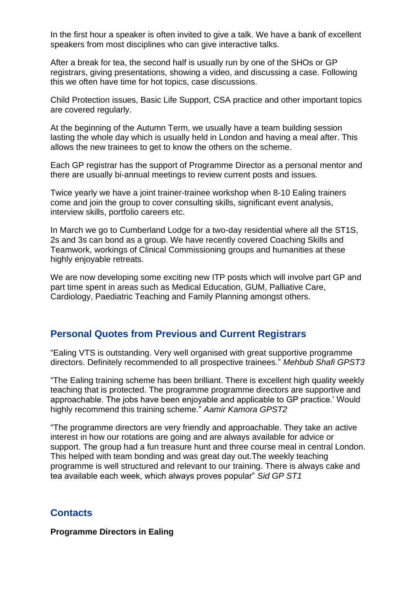In the first hour a speaker is often invited to give a talk. We have a bank of excellent speakers from most disciplines who can give interactive talks.

After a break for tea, the second half is usually run by one of the SHOs or GP registrars, giving presentations, showing a video, and discussing a case. Following this we often have time for hot topics, case discussions.

Child Protection issues, Basic Life Support, CSA practice and other important topics are covered regularly.

At the beginning of the Autumn Term, we usually have a team building session lasting the whole day which is usually held in London and having a meal after. This allows the new trainees to get to know the others on the scheme.

Each GP registrar has the support of Programme Director as a personal mentor and there are usually bi-annual meetings to review current posts and issues.

Twice yearly we have a joint trainer-trainee workshop when 8-10 Ealing trainers come and join the group to cover consulting skills, significant event analysis, interview skills, portfolio careers etc.

In March we go to Cumberland Lodge for a two-day residential where all the ST1S, 2s and 3s can bond as a group. We have recently covered Coaching Skills and Teamwork, workings of Clinical Commissioning groups and humanities at these highly enjoyable retreats.

We are now developing some exciting new ITP posts which will involve part GP and part time spent in areas such as Medical Education, GUM, Palliative Care, Cardiology, Paediatric Teaching and Family Planning amongst others.

## **Personal Quotes from Previous and Current Registrars**

"Ealing VTS is outstanding. Very well organised with great supportive programme directors. Definitely recommended to all prospective trainees." *Mehbub Shafi GPST3*

"The Ealing training scheme has been brilliant. There is excellent high quality weekly teaching that is protected. The programme programme directors are supportive and approachable. The jobs have been enjoyable and applicable to GP practice.' Would highly recommend this training scheme." *Aamir Kamora GPST2*

"The programme directors are very friendly and approachable. They take an active interest in how our rotations are going and are always available for advice or support. The group had a fun treasure hunt and three course meal in central London. This helped with team bonding and was great day out.The weekly teaching programme is well structured and relevant to our training. There is always cake and tea available each week, which always proves popular" *Sid GP ST1*

#### **Contacts**

**Programme Directors in Ealing**